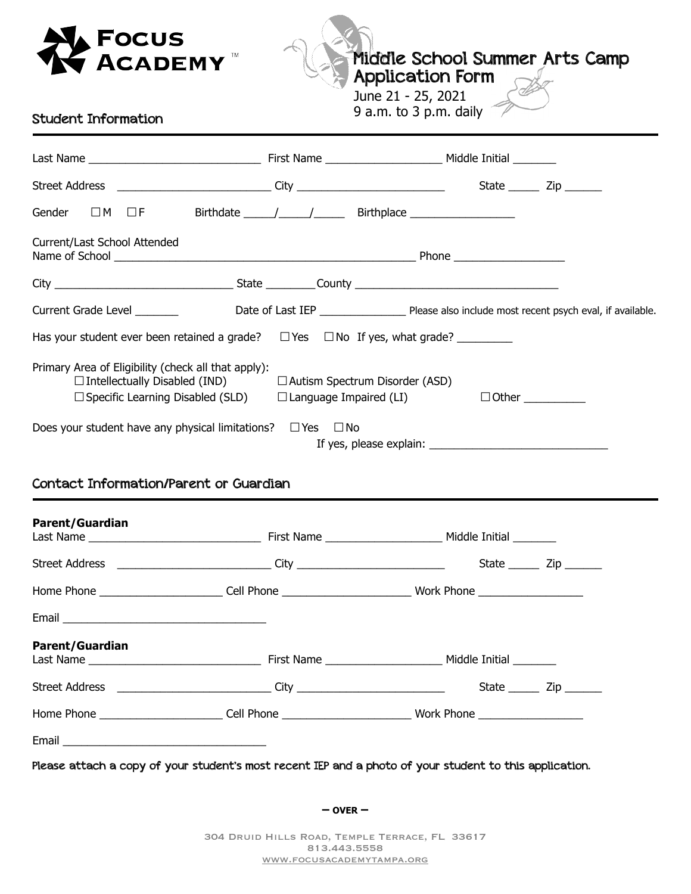

Middle School Summer Arts Camp

Application Form

June 21 - 25, 2021 9 a.m. to 3 p.m. daily

## Student Information

| $\Box$ M $\Box$ F<br>Gender                                                                                                                                                                |                                                                                                |                                                                                                                |  |
|--------------------------------------------------------------------------------------------------------------------------------------------------------------------------------------------|------------------------------------------------------------------------------------------------|----------------------------------------------------------------------------------------------------------------|--|
|                                                                                                                                                                                            |                                                                                                |                                                                                                                |  |
|                                                                                                                                                                                            |                                                                                                |                                                                                                                |  |
| Current/Last School Attended                                                                                                                                                               |                                                                                                |                                                                                                                |  |
|                                                                                                                                                                                            |                                                                                                |                                                                                                                |  |
|                                                                                                                                                                                            |                                                                                                |                                                                                                                |  |
|                                                                                                                                                                                            |                                                                                                |                                                                                                                |  |
| Primary Area of Eligibility (check all that apply):<br>$\Box$ Intellectually Disabled (IND)<br>$\Box$ Specific Learning Disabled (SLD)<br>Does your student have any physical limitations? | $\Box$ Autism Spectrum Disorder (ASD)<br>$\Box$ Language Impaired (LI)<br>$\Box$ Yes $\Box$ No |                                                                                                                |  |
|                                                                                                                                                                                            |                                                                                                |                                                                                                                |  |
| <b>Contact Information/Parent or Guardian</b>                                                                                                                                              |                                                                                                |                                                                                                                |  |
| <b>Parent/Guardian</b>                                                                                                                                                                     |                                                                                                |                                                                                                                |  |
|                                                                                                                                                                                            |                                                                                                | Street Address ______________________________City ________________________________State _________Zip ________  |  |
|                                                                                                                                                                                            |                                                                                                | Home Phone _____________________________Cell Phone ______________________________ Work Phone _________________ |  |
|                                                                                                                                                                                            |                                                                                                |                                                                                                                |  |
| <b>Parent/Guardian</b>                                                                                                                                                                     |                                                                                                |                                                                                                                |  |
|                                                                                                                                                                                            |                                                                                                |                                                                                                                |  |
|                                                                                                                                                                                            |                                                                                                | Home Phone ____________________________Cell Phone _____________________________Work Phone ___________________  |  |

**– OVER –**